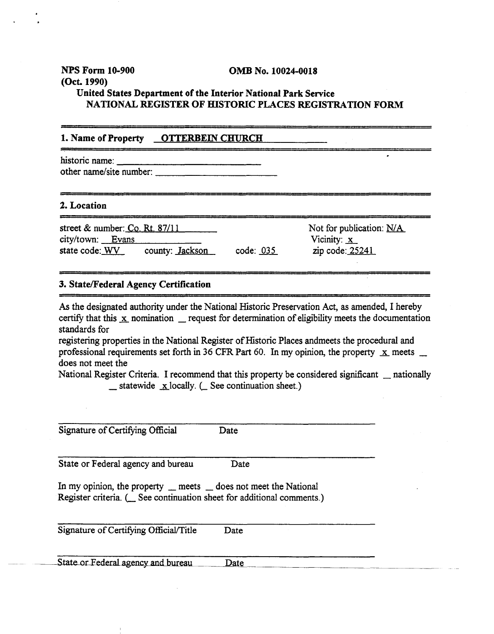**NPS Form 10-900 OMB No. 10024-0018 (Oct. 1990) United States Department of the Interior National Park Service NATIONAL REGISTER OF HISTORIC PLACES REGISTRATION FORM** 

## 1. Name of Property **OTTERBEIN CHURCH**

historic name: other name/site number:

**2. Location** - - -- - - - -- - - -- - ----- - - - - street & number: Co. Rt. 87/11 Not for publication: N/A<br>
city/town: Evans Vicinity: <u>x</u><br>
Vicinity: <u>x</u> state code: <u>WV</u> county: Jackson code: 035 zip code: 25241

## **3. StatelFederal Agency Certification**

**As** the designated authority under the National Historic Preservation **Act,** as amended, I hereby certify that this  $\overline{x}$  nomination  $\overline{x}$  request for determination of eligibility meets the documentation standards for

registering properties in the National Register of Historic Places andmeets the procedural and professional requirements set forth in 36 CFR Part 60. In my opinion, the property  $\bar{x}$  meets  $\bar{z}$ does not meet the

National Register Criteria. I recommend that this property be considered significant  $\_\$ nationally - statewide &locally. *C* See continuation sheet.)

| Signature of Certifying Official                                                                                                                  | Date |
|---------------------------------------------------------------------------------------------------------------------------------------------------|------|
| State or Federal agency and bureau                                                                                                                | Date |
| In my opinion, the property $\_\$ meets $\_\$ does not meet the National<br>Register criteria. ( See continuation sheet for additional comments.) |      |
| Signature of Certifying Official/Title                                                                                                            | Date |
|                                                                                                                                                   |      |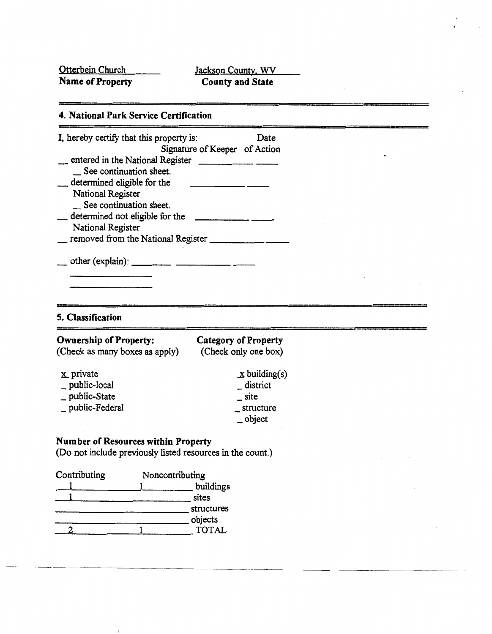Otterbein Church Jackson County, WV<br> **Name of Property** County and State **County and State** 

--

# **4. National Park Service Certification**

| I, hereby certify that this property is:                         | Date                                 |
|------------------------------------------------------------------|--------------------------------------|
|                                                                  | Signature of Keeper of Action        |
| __ entered in the National Register _<br>See continuation sheet. |                                      |
| _determined eligible for the                                     |                                      |
| National Register                                                |                                      |
| _ See continuation sheet.                                        |                                      |
| determined not eligible for the                                  |                                      |
| National Register                                                |                                      |
|                                                                  |                                      |
|                                                                  |                                      |
|                                                                  |                                      |
|                                                                  |                                      |
|                                                                  |                                      |
| 5. Classification                                                |                                      |
| <b>Ownership of Property:</b>                                    | <b>Category of Property</b>          |
| (Check as many boxes as apply)                                   | (Check only one box)                 |
| $x$ private                                                      | $\mathbf{\underline{x}}$ building(s) |
| _ public-local                                                   | _district                            |
| _ public-State                                                   | site                                 |
| _ public-Federal                                                 | structure                            |
|                                                                  | $-$ object                           |
|                                                                  |                                      |
| Number of Resources within Property                              |                                      |
| (Do not include previously listed resources in the count.)       |                                      |
| Contributing<br>Noncontributing                                  |                                      |
|                                                                  | buildings                            |
| 1                                                                | sites                                |

structures objects

2 1 **TOTAL** 

 $\mathbf{I}$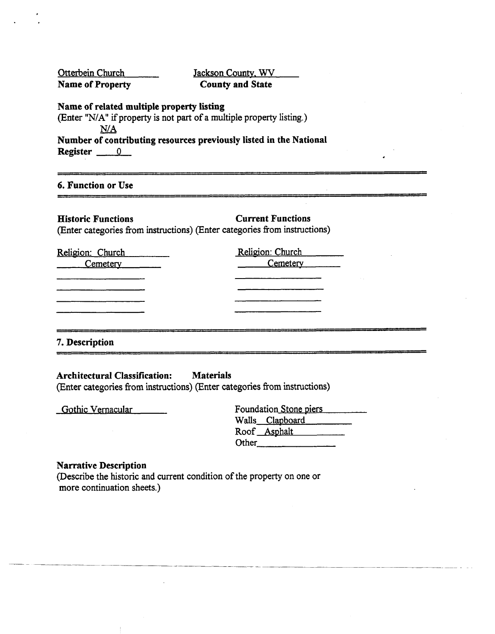| Otterbein Church<br>Jackson County, WV<br><b>Name of Property</b><br><b>County and State</b>                                                   |                                                                                                       |  |  |  |
|------------------------------------------------------------------------------------------------------------------------------------------------|-------------------------------------------------------------------------------------------------------|--|--|--|
| Name of related multiple property listing<br>(Enter "N/A" if property is not part of a multiple property listing.)<br>N/A<br>$ Register \_\_0$ | Number of contributing resources previously listed in the National                                    |  |  |  |
| <b>6. Function or Use</b>                                                                                                                      |                                                                                                       |  |  |  |
| <b>Historic Functions</b>                                                                                                                      | <b>Current Functions</b><br>(Enter categories from instructions) (Enter categories from instructions) |  |  |  |
| Religion: Church<br>Cemetery <u>Cemeter</u>                                                                                                    | Religion: Church<br>Cemetery                                                                          |  |  |  |
|                                                                                                                                                |                                                                                                       |  |  |  |
| 7. Description                                                                                                                                 |                                                                                                       |  |  |  |

# **Architectural Classification: Materials**

(Enter categories from instructions) (Enter categories from instructions)

Gothic Vernacular

|       | Foundation Stone piers |
|-------|------------------------|
|       | Walls_Clapboard        |
|       | Roof <u>Asphalt</u>    |
| Other |                        |
|       |                        |

# **Narrative Description**

(Describe the historic and current condition of the property on one or more continuation sheets.)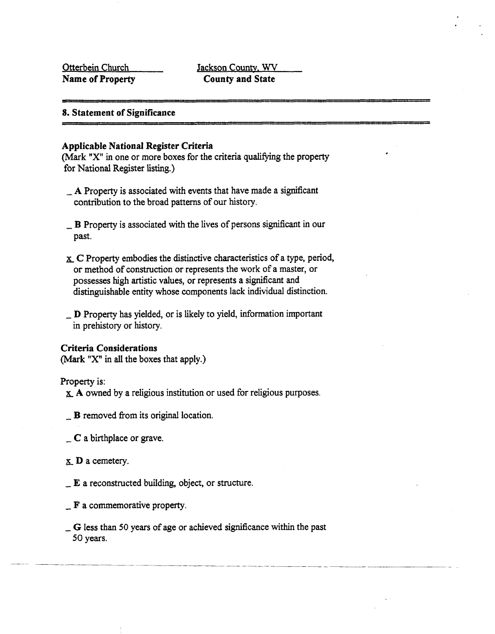# **8. Statement of Significance**

## **Applicable National Register Criteria**

**(Mark "X"** in one or more boxes for the criteria qualifying the property for National Register listing.)

- $\Delta$  **A** Property is associated with events that have made a significant contribution to the broad patterns of our history.
- $\Box$  B Property is associated with the lives of persons significant in our past.
- **r** C Property embodies the distinctive characteristics of a type, period, or method of construction or represents the work of a master, or possesses high artistic values, or represents a significant and distinguishable entity whose components lack individual distinction.
- D Property has yielded, or is likely to yield, information important in prehistory or history.

## **Criteria Considerations**

**(Mark "X" in** all the boxes that apply.)

#### Property is:

**a A** owned by a religious institution or used for religious purposes.

- $\mathbf{B}$  removed from its original location.
- $\subset$  C a birthplace or grave.
- **x** D a cemetery.
- $\mathbf{E}$  a reconstructed building, object, or structure.
- $\mathbf{F}$  a commemorative property.
- *<sup>G</sup>*less than 50 years of age or achieved significance within the past 50 years.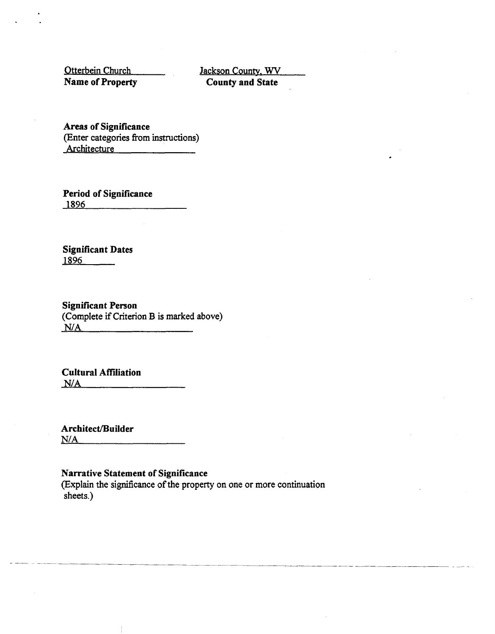Otterbein Church **Name of Property** 

Jackson Countv. **WV County and State** 

**Areas of Significance**  (Enter categories from instructions) Architecture

**Period of Significance 1896** 

**Significant Dates 1896** 

**Significant Person**  (Complete **if** Criterion B is marked above)

**Cultural Affiliation NIA** 

Architect/Builder  $N/A$ 

# **Narrative Statement of Significance**

(Explain the significance of the property on one or more continuation sheets.)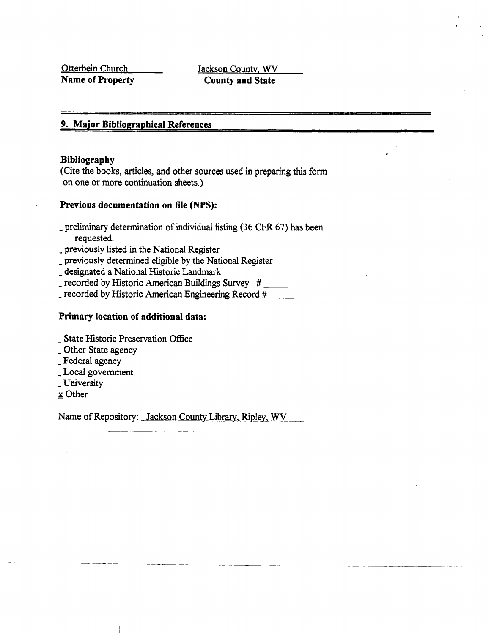Otterbein Church Jackson County. **WV** 

**Name of Property County and State** 

## **9. Mqjor Bibliographical References**

### **Bibliography**

(Cite the books, articles, and other sources used in preparing this form on one or more continuation sheets.)

## **Previous documentation on file (NPS):**

- preliminary determination of individual listing (36 **CFR** 67) has been requested.
- previously listed in the National Register
- previously determined eligible by the National Register
- designated a National Historic Landmark
- $=$  recorded by Historic American Buildings Survey  $#$  \_\_\_\_\_
- recorded by Historic American Engineering Record #

## **Primary location of additional data:**

- State Historic Preservation Office
- Other State agency
- Federal agency
- Local government
- University
- x Other

Name of Repository: Jackson **County** Library. Riplev. **WV**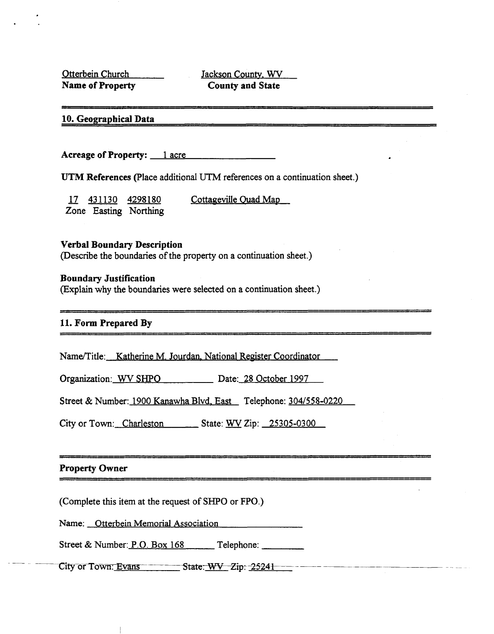Otterbein Church Name of Property

Jackson County, WV **County and State** 

# 10. Geographical Data

Acreage of Property: 1 acre

UTM References (Place additional UTM references on a continuation sheet.)

Cottageville Quad Map 17 431130 4298180 Zone Easting Northing

#### **Verbal Boundary Description**

(Describe the boundaries of the property on a continuation sheet.)

#### **Boundary Justification**

(Explain why the boundaries were selected on a continuation sheet.)

## 11. Form Prepared By

Name/Title: Katherine M. Jourdan, National Register Coordinator

Organization: WV SHPO Date: 28 October 1997

Street & Number: 1900 Kanawha Blvd, East Telephone: 304/558-0220

City or Town: Charleston State: WV Zip: 25305-0300

## **Property Owner**

(Complete this item at the request of SHPO or FPO.)

Name: Otterbein Memorial Association

Street & Number: P.O. Box 168 Telephone:

City or Town: Evans State: WV Zip: 25241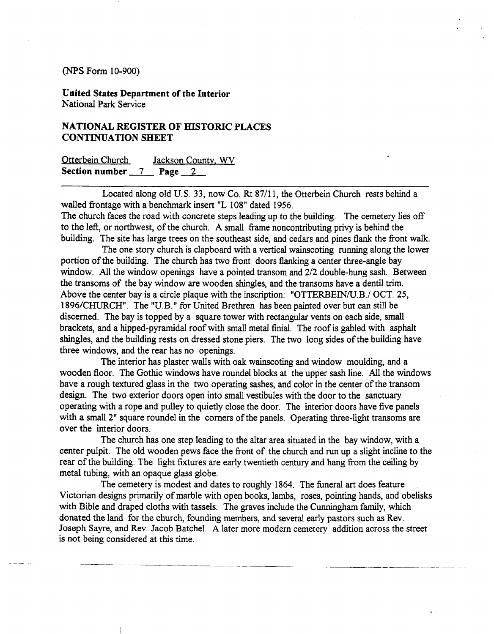**United States Department of the Interior**  National Park Service

# **NATIONAL REGISTER OF HISTORIC PLACES CONTINUATION SHEET**

| Otterbein Church                                |  | Jackson County, WV |  |
|-------------------------------------------------|--|--------------------|--|
| Section number $\frac{7}{2}$ Page $\frac{2}{2}$ |  |                    |  |

Located along old U.S. 33, now Co. Rt 87/11, the Otterbein Church rests behind a walled fiontage with a benchmark insert "L 108" dated 1956.

The church faces the road with concrete steps leading up to the building. The cemetery lies off to the left, or northwest, of the church. A small frame noncontributing privy is behind the building. The site has large trees on the southeast side, and cedars and pines **flank** the fiont walk.

The one story church is clapboard with a vertical wainscoting running along the lower portion of the building. The church has two front doors flanking a center three-angle bay window. All the window openings have a pointed transom and 2/2 double-hung sash. Between the transoms of the bay window are wooden shingles, and the transoms have a dentil trim. Above the center bay is a circle plaque with the inscription: "OTTERBEIN/U.B./ OCT. 25, 1896/CHURCH". The "U.B." for United Brethren has been painted over but can still be discerned. The bay is topped by a square tower with rectangular vents on each side, small brackets, and a hipped-pyramidal roof with small metal finial. The roof is gabled with asphalt shingles, and the building rests on dressed stone piers. The two long sides of the building have three windows, and the rear has no openings.

The interior has plaster walls with oak wainscoting and window moulding, and a wooden floor. The Gothic windows have roundel blocks at the upper sash line. All the windows have a rough textured glass in the two operating sashes, and color in the center of the transom design. The two exterior doors open into small vestibules with the door to the sanctuary operating with a rope and pulley to quietly close the door. The interior doors have five panels with a small 2" square roundel in the corners of the panels. Operating three-light transoms are over the interior doors.

The church has one step leading to the altar area situated in the bay window, with a center pulpit. The old wooden pews face the fiont of the church and run up a slight incline to the rear of the building. The light fixtures are early twentieth century and hang from the ceiling by metal tubing, with an opaque glass globe.

The cemetery is modest and dates to roughly 1864. The funeral art does feature Victorian designs primarily of marble with open books, lambs, roses, pointing hands, and obelisks with Bible and draped cloths with tassels. The graves include the Cunningham family, which donated the land for the church, founding members, and several early pastors such as Rev. Joseph Sayre, and Rev. Jacob Batchel. **A** later more modem cemetery addition across the street is not being considered at this time.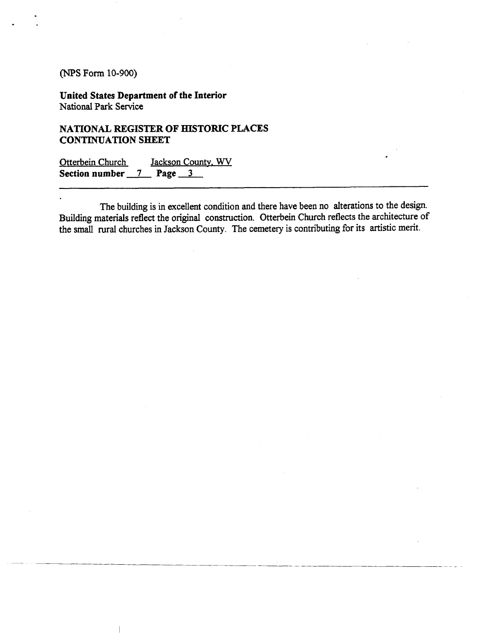**United States Department of the Interior**  National **Park** Service

# **NATIONAL REGISTER OF HISTORIC PLACES CONTINUATION SHEET**

Otterbein Church Jackson County. **WV**  Section number 7 Page 3

The building is in excellent condition and there have been no alterations to the design. Building materials reflect the original construction. Otterbein Church reflects the architecture of the small rural churches in Jackson County. The cemetery is contributing for its artistic merit.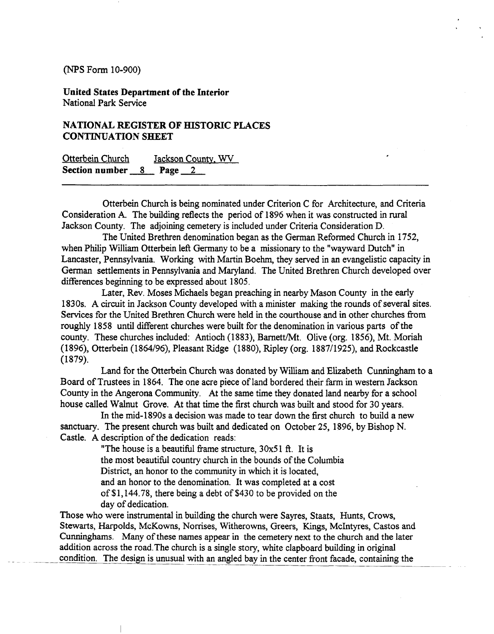**United States Department of the Interior**  National Park Service

# **NATIONAL REGISTER OF HISTORIC PLACES CONTINUATION SHEET**

| Otterbein Church            |  | Jackson County, WV |  |
|-----------------------------|--|--------------------|--|
| Section number $8$ Page $2$ |  |                    |  |

Otterbein Church is being nominated under Criterion C for Architecture, and Criteria Consideration **A.** The building reflects the period of 1896 when it was constructed in rural Jackson County. The adjoining cemetery is included under Criteria Consideration D.

The United Brethren denomination began as the German Reformed Church in 1752, when Philip William Otterbein left Germany to be a missionary to the "wayward Dutch" in Lancaster, Pennsylvania. Working with Martin Boehm, they served in an evangelistic capacity in German settlements in Pennsylvania and Maryland. The United Brethren Church developed over differences beginning to be expressed about 1805.

Later, Rev. Moses Michaels began preaching in nearby Mason County in the early 1830s. A circuit in Jackson County developed with a minister making the rounds of several sites. Services for the United Brethren Church were held in the courthouse and in other churches fiom roughly 1858 until different churches were built for the denomination in various parts of the county. These churches included: Antioch (1883), Barnett/Mt. Olive (org. 1856), Mt. Moriah (1896), Otterbein (1864/96), Pleasant Ridge (1880), Ripley (org. 1887/1925), and Rockcastle (1879).

Land for the Otterbein Church was donated by William and Elizabeth Cunningham to a Board of Trustees in 1864. The one acre piece of land bordered their farm in western Jackson County in the Angerona Community. At the same time they donated land nearby for a school house called Walnut Grove. At that time the fist church was built and stood for 30 years.

In the mid-1890s a decision was made to tear down the fist church to build a new sanctuary. The present church was built and dedicated on October 25, 1896, by Bishop N. Castle. A description of the dedication reads:

> "The house is a beautiful frame structure,  $30x51$  ft. It is the most beautiful country church in the bounds of the Columbia District, an honor to the community in which it is located, and an honor to the denomination. It was completed at a cost of \$1,144.78, there being a debt of \$430 to be provided on the day of dedication.

Those who were instrumental in building the church were Sayres, Staats, Hunts, Crows, Stewarts, Harpolds, McKowns, Nomses, Witherowns, Greers, **Kings,** McIntyres, Castos and Cunninghams. Many of these names appear in the cemetery next to the church and the later addition across the road.The church is a single story, white clapboard building in original condition. The design is unusual with an angled bay in the center front facade, containing the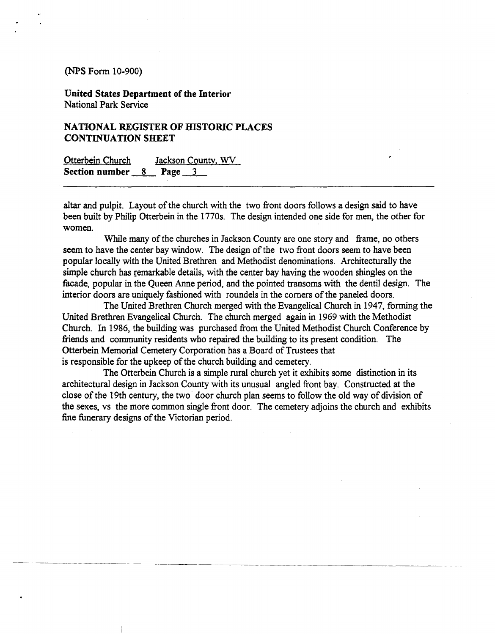**United States Department of the Interior**  National Park Service

# **NATIONAL REGISTER OF HISTORIC PLACES CONTINUATION SHEET**

| <b>Otterbein Church</b>     |  | Jackson County, WV |  |
|-----------------------------|--|--------------------|--|
| Section number $8$ Page $3$ |  |                    |  |

altar and pulpit. Layout of the church with the two fiont doors follows a design said to have been built by Philip Otterbein in the 1770s. The design intended one side for men, the other for women.

While many of the churches in Jackson County are one story and frame, no others seem to have the center bay window. The design of the two fiont doors seem to have been popular locally with the United Brethren and Methodist denominations. Architecturally the simple church has remarkable details, with the center bay having the wooden shingles on the facade, popular in the Queen Anne period, and the pointed transoms with the dentil design. The interior doors are uniquely fashioned with roundels in the comers of the paneled doors.

The United Brethren Church merged with the Evangelical Church in 1947, forming the United Brethren Evangelical Church. The church merged again in 1969 with the Methodist Church. In 1986, the building was purchased from the United Methodist Church Conference by friends and community residents who repaired the building to its present condition. The Otterbein Memorial Cemetery Corporation has a Board of Trustees that is responsible for the upkeep of the church building and cemetery.

The Otterbein Church is a simple rural church yet it exhibits some distinction in its architectural design in Jackson County with its unusual angled front bay. Constructed at the close of the 19th century, the two door church plan seems to follow the old way of division of the sexes, vs the more common single fiont door. The cemetery adjoins the church and exhibits fine funerary designs of the Victorian period.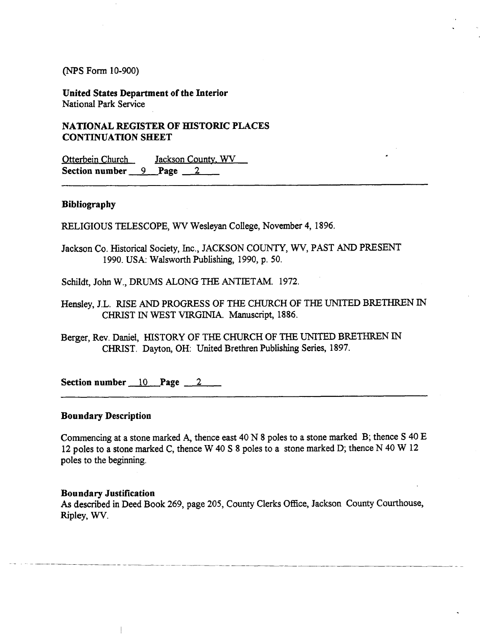**United States Department of the Interior**  National Park Service

**NATIONAL REGISTER OF HISTORIC PLACES CONTINUATION SHEET** 

Otterbein Church Jackson County. **WV Section number** 9 **Page** 2

#### **Bibliography**

RELIGIOUS TELESCOPE, **WV** Wesleyan College, November 4, 1896.

- Jackson Co. Historical Society, Inc., JACKSON COUNTY, **WV,** PAST AND PRESENT 1990. USA: Walsworth Publishing, 1990, p. 50.
- Schildt, John W., DRUMS ALONG **THE** ANTIETAM. 1972.
- Hensley, J.L. RISE AND PROGRESS OF THE CHURCH OF THE UNITED BRETHREN IN CHRIST IN WEST VIRGINIA. Manuscript, 1886.
- Berger, Rev. Daniel, HISTORY OF **THE** CHURCH OF THE UNITED BRETHREN IN CHRIST. Dayton, OH: United Brethren Publishing Series, 1897.

Section number 10 **Page 2** 

### **Boundary Description**

Commencing at a stone marked A, thence east 40 N 8 poles to a stone marked B; thence S 40 E 12 poles to a stone marked C, thence W 40 S 8 poles to a stone marked D; thence N 40 W 12 poles to the beginning.

#### **Boundary Justification**

**As** described **in** Deed Book 269, page 205, County Clerks Office, Jackson County Courthouse, Ripley, WV.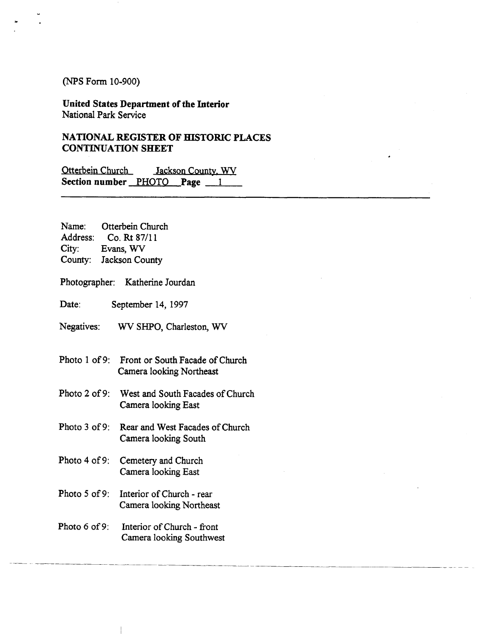**United States Department of the Interior**  National Park Service

# **NATIONAL REGISTER OF HISTORIC PLACES CONTINUATION SHEET**

Otterbein Church Jackson County. **WV Section number PHOTO Page 1** 

Name: Otterbein Church Address: Co. Rt 8711 1 City: Evans, **WV**  County: Jackson County

Photographer: Katherine Jourdan

Date: September 14, 1997

Negatives: **WV** SHPO, Charleston, **WV** 

- Photo 1 of 9: Front or South Facade of Church Camera looking Northeast
- Photo **2** of 9: West and South Facades of Church Camera looking East
- Photo **3** of 9: Rear and West Facades of Church Camera looking South
- Photo **4** of 9: Cemetery and Church Camera looking East
- Photo **5** of 9: Interior of Church rear Camera looking Northeast
- Photo *6* of 9: Interior of Church - fiont Camera looking Southwest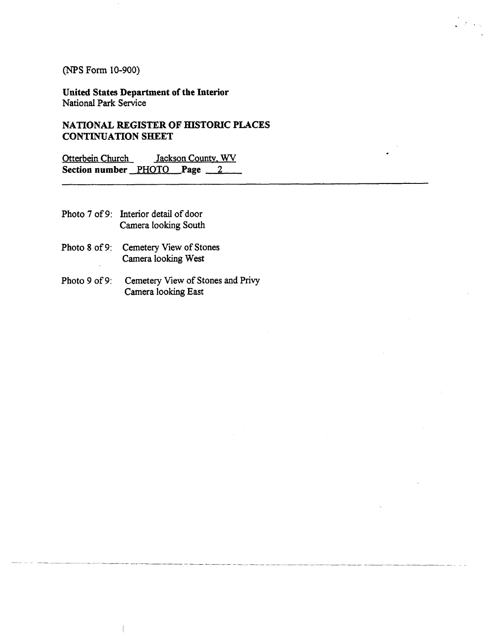**United States Department of the Interior**  National Park Service

**NATIONAL REGISTER** OF **HISTORIC PLACES CONTINUATION SHEET** 

Otterbein Church Jackson Countv. **WV Section number** PHOTO **Page 2** 

- Photo **7** of 9: Interior detail of door Camera looking South
- Photo 8 of 9: Cemetery View of Stones Camera looking West
- Photo **9** of 9: Cemetery View of Stones and Privy Camera looking **East**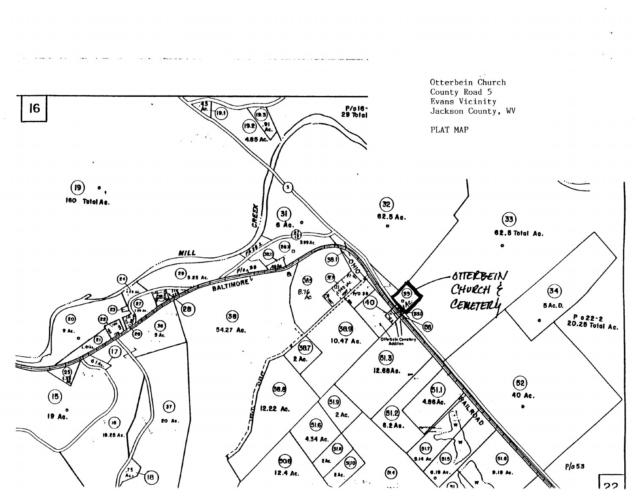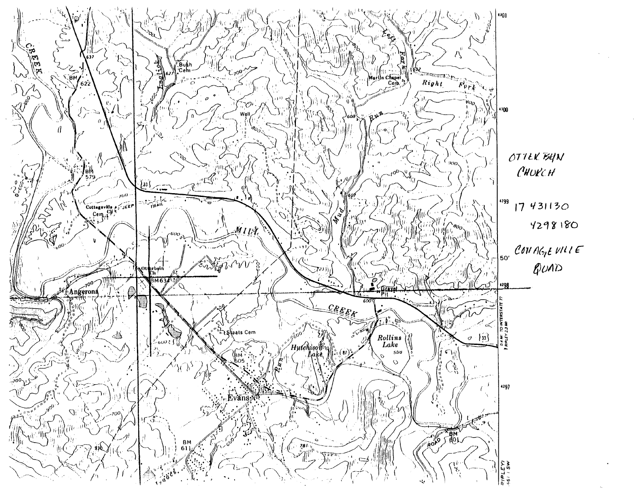